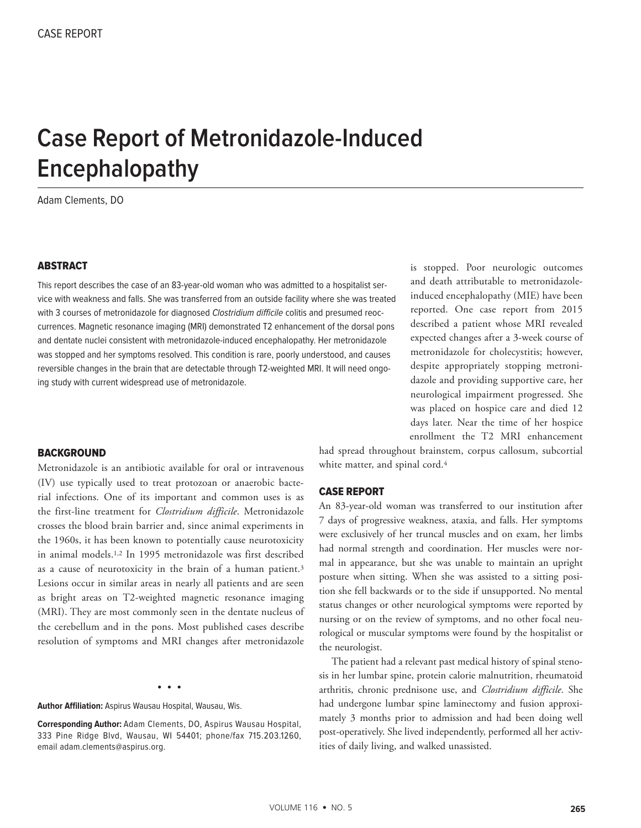# **Case Report of Metronidazole-Induced Encephalopathy**

Adam Clements, DO

#### ABSTRACT

This report describes the case of an 83-year-old woman who was admitted to a hospitalist service with weakness and falls. She was transferred from an outside facility where she was treated with 3 courses of metronidazole for diagnosed Clostridium difficile colitis and presumed reoccurrences. Magnetic resonance imaging (MRI) demonstrated T2 enhancement of the dorsal pons and dentate nuclei consistent with metronidazole-induced encephalopathy. Her metronidazole was stopped and her symptoms resolved. This condition is rare, poorly understood, and causes reversible changes in the brain that are detectable through T2-weighted MRI. It will need ongoing study with current widespread use of metronidazole.

is stopped. Poor neurologic outcomes and death attributable to metronidazoleinduced encephalopathy (MIE) have been reported. One case report from 2015 described a patient whose MRI revealed expected changes after a 3-week course of metronidazole for cholecystitis; however, despite appropriately stopping metronidazole and providing supportive care, her neurological impairment progressed. She was placed on hospice care and died 12 days later. Near the time of her hospice enrollment the T2 MRI enhancement

#### **BACKGROUND**

Metronidazole is an antibiotic available for oral or intravenous (IV) use typically used to treat protozoan or anaerobic bacterial infections. One of its important and common uses is as the first-line treatment for *Clostridium difficile*. Metronidazole crosses the blood brain barrier and, since animal experiments in the 1960s, it has been known to potentially cause neurotoxicity in animal models.1,2 In 1995 metronidazole was first described as a cause of neurotoxicity in the brain of a human patient.<sup>3</sup> Lesions occur in similar areas in nearly all patients and are seen as bright areas on T2-weighted magnetic resonance imaging (MRI). They are most commonly seen in the dentate nucleus of the cerebellum and in the pons. Most published cases describe resolution of symptoms and MRI changes after metronidazole

• • •

**Author Affiliation:** Aspirus Wausau Hospital, Wausau, Wis.

**Corresponding Author:** Adam Clements, DO, Aspirus Wausau Hospital, 333 Pine Ridge Blvd, Wausau, WI 54401; phone/fax 715.203.1260, email adam.clements@aspirus.org.

had spread throughout brainstem, corpus callosum, subcortial white matter, and spinal cord.<sup>4</sup>

#### CASE REPORT

An 83-year-old woman was transferred to our institution after 7 days of progressive weakness, ataxia, and falls. Her symptoms were exclusively of her truncal muscles and on exam, her limbs had normal strength and coordination. Her muscles were normal in appearance, but she was unable to maintain an upright posture when sitting. When she was assisted to a sitting position she fell backwards or to the side if unsupported. No mental status changes or other neurological symptoms were reported by nursing or on the review of symptoms, and no other focal neurological or muscular symptoms were found by the hospitalist or the neurologist.

The patient had a relevant past medical history of spinal stenosis in her lumbar spine, protein calorie malnutrition, rheumatoid arthritis, chronic prednisone use, and *Clostridium difficile*. She had undergone lumbar spine laminectomy and fusion approximately 3 months prior to admission and had been doing well post-operatively. She lived independently, performed all her activities of daily living, and walked unassisted.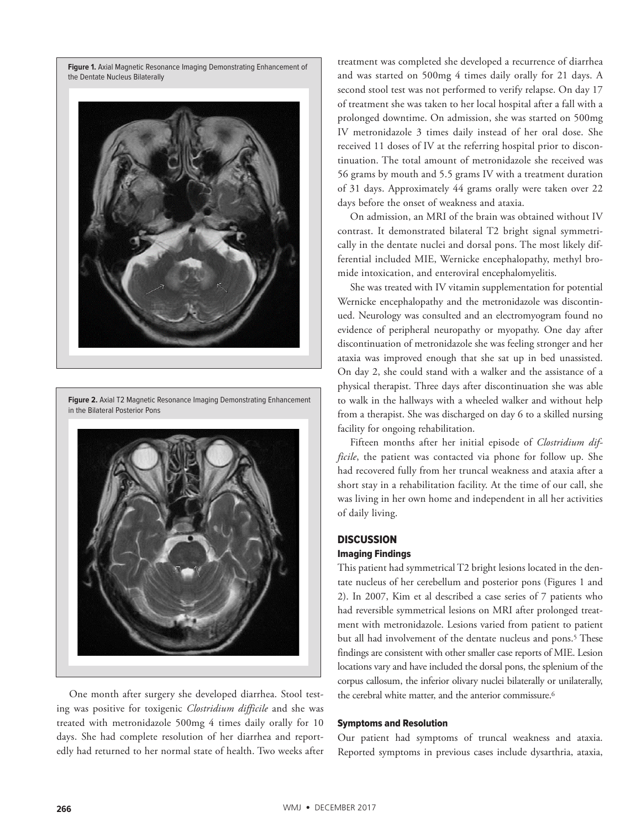**Figure 1.** Axial Magnetic Resonance Imaging Demonstrating Enhancement of the Dentate Nucleus Bilaterally



**Figure 2.** Axial T2 Magnetic Resonance Imaging Demonstrating Enhancement in the Bilateral Posterior Pons



One month after surgery she developed diarrhea. Stool testing was positive for toxigenic *Clostridium difficile* and she was treated with metronidazole 500mg 4 times daily orally for 10 days. She had complete resolution of her diarrhea and reportedly had returned to her normal state of health. Two weeks after treatment was completed she developed a recurrence of diarrhea and was started on 500mg 4 times daily orally for 21 days. A second stool test was not performed to verify relapse. On day 17 of treatment she was taken to her local hospital after a fall with a prolonged downtime. On admission, she was started on 500mg IV metronidazole 3 times daily instead of her oral dose. She received 11 doses of IV at the referring hospital prior to discontinuation. The total amount of metronidazole she received was 56 grams by mouth and 5.5 grams IV with a treatment duration of 31 days. Approximately 44 grams orally were taken over 22 days before the onset of weakness and ataxia.

On admission, an MRI of the brain was obtained without IV contrast. It demonstrated bilateral T2 bright signal symmetrically in the dentate nuclei and dorsal pons. The most likely differential included MIE, Wernicke encephalopathy, methyl bromide intoxication, and enteroviral encephalomyelitis.

She was treated with IV vitamin supplementation for potential Wernicke encephalopathy and the metronidazole was discontinued. Neurology was consulted and an electromyogram found no evidence of peripheral neuropathy or myopathy. One day after discontinuation of metronidazole she was feeling stronger and her ataxia was improved enough that she sat up in bed unassisted. On day 2, she could stand with a walker and the assistance of a physical therapist. Three days after discontinuation she was able to walk in the hallways with a wheeled walker and without help from a therapist. She was discharged on day 6 to a skilled nursing facility for ongoing rehabilitation.

Fifteen months after her initial episode of *Clostridium difficile*, the patient was contacted via phone for follow up. She had recovered fully from her truncal weakness and ataxia after a short stay in a rehabilitation facility. At the time of our call, she was living in her own home and independent in all her activities of daily living.

## **DISCUSSION**

## Imaging Findings

This patient had symmetrical T2 bright lesions located in the dentate nucleus of her cerebellum and posterior pons (Figures 1 and 2). In 2007, Kim et al described a case series of 7 patients who had reversible symmetrical lesions on MRI after prolonged treatment with metronidazole. Lesions varied from patient to patient but all had involvement of the dentate nucleus and pons.<sup>5</sup> These findings are consistent with other smaller case reports of MIE. Lesion locations vary and have included the dorsal pons, the splenium of the corpus callosum, the inferior olivary nuclei bilaterally or unilaterally, the cerebral white matter, and the anterior commissure.<sup>6</sup>

## Symptoms and Resolution

Our patient had symptoms of truncal weakness and ataxia. Reported symptoms in previous cases include dysarthria, ataxia,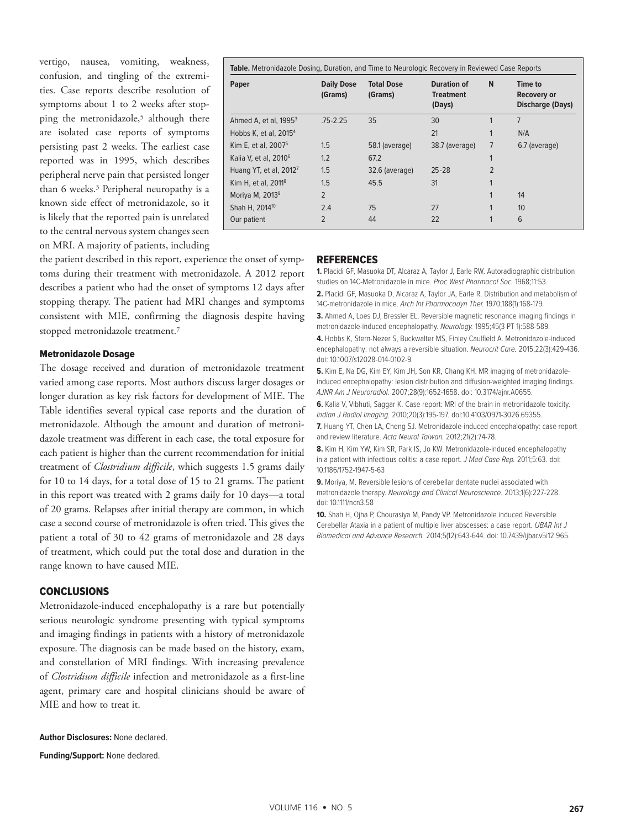vertigo, nausea, vomiting, weakness, confusion, and tingling of the extremities. Case reports describe resolution of symptoms about 1 to 2 weeks after stopping the metronidazole,<sup>5</sup> although there are isolated case reports of symptoms persisting past 2 weeks. The earliest case reported was in 1995, which describes peripheral nerve pain that persisted longer than 6 weeks.3 Peripheral neuropathy is a known side effect of metronidazole, so it is likely that the reported pain is unrelated to the central nervous system changes seen on MRI. A majority of patients, including

| <b>Paper</b>                       | <b>Daily Dose</b><br>(Grams) | <b>Total Dose</b><br>(Grams) | <b>Duration of</b><br><b>Treatment</b><br>(Days) | N                       | Time to<br>Recovery or<br><b>Discharge (Days)</b> |
|------------------------------------|------------------------------|------------------------------|--------------------------------------------------|-------------------------|---------------------------------------------------|
| Ahmed A, et al, $19953$            | $.75 - 2.25$                 | 35                           | 30                                               |                         | $\overline{7}$                                    |
| Hobbs K, et al, 2015 <sup>4</sup>  |                              |                              | 21                                               | 1                       | N/A                                               |
| Kim E, et al, 2007 <sup>5</sup>    | 1.5                          | 58.1 (average)               | 38.7 (average)                                   | 7                       | 6.7 (average)                                     |
| Kalia V, et al, 2010 <sup>6</sup>  | 1.2                          | 67.2                         |                                                  | 1                       |                                                   |
| Huang YT, et al, 2012 <sup>7</sup> | 1.5                          | 32.6 (average)               | $25 - 28$                                        | $\overline{2}$          |                                                   |
| Kim H, et al, 2011 <sup>8</sup>    | 1.5                          | 45.5                         | 31                                               | 1                       |                                                   |
| Moriya M, 2013 <sup>9</sup>        | $\overline{2}$               |                              |                                                  | 1                       | 14                                                |
| Shah H, 2014 <sup>10</sup>         | 2.4                          | 75                           | 27                                               | 1                       | 10                                                |
| Our patient                        | $\overline{2}$               | 44                           | 22                                               | $\mathbf{\overline{1}}$ | 6                                                 |

the patient described in this report, experience the onset of symptoms during their treatment with metronidazole. A 2012 report describes a patient who had the onset of symptoms 12 days after stopping therapy. The patient had MRI changes and symptoms consistent with MIE, confirming the diagnosis despite having stopped metronidazole treatment.7

#### Metronidazole Dosage

The dosage received and duration of metronidazole treatment varied among case reports. Most authors discuss larger dosages or longer duration as key risk factors for development of MIE. The Table identifies several typical case reports and the duration of metronidazole. Although the amount and duration of metronidazole treatment was different in each case, the total exposure for each patient is higher than the current recommendation for initial treatment of *Clostridium difficile*, which suggests 1.5 grams daily for 10 to 14 days, for a total dose of 15 to 21 grams. The patient in this report was treated with 2 grams daily for 10 days—a total of 20 grams. Relapses after initial therapy are common, in which case a second course of metronidazole is often tried. This gives the patient a total of 30 to 42 grams of metronidazole and 28 days of treatment, which could put the total dose and duration in the range known to have caused MIE.

#### **CONCLUSIONS**

Metronidazole-induced encephalopathy is a rare but potentially serious neurologic syndrome presenting with typical symptoms and imaging findings in patients with a history of metronidazole exposure. The diagnosis can be made based on the history, exam, and constellation of MRI findings. With increasing prevalence of *Clostridium difficile* infection and metronidazole as a first-line agent, primary care and hospital clinicians should be aware of MIE and how to treat it.

**Author Disclosures:** None declared.

**Funding/Support:** None declared.

#### REFERENCES

**1.** Placidi GF, Masuoka DT, Alcaraz A, Taylor J, Earle RW. Autoradiographic distribution studies on 14C-Metronidazole in mice. Proc West Pharmacol Soc. 1968;11:53.

**2.** Placidi GF, Masuoka D, Alcaraz A, Taylor JA, Earle R. Distribution and metabolism of 14C-metronidazole in mice. Arch Int Pharmacodyn Ther. 1970;188(1):168-179.

**3.** Ahmed A, Loes DJ, Bressler EL. Reversible magnetic resonance imaging findings in metronidazole-induced encephalopathy. Neurology. 1995;45(3 PT 1):588-589.

**4.** Hobbs K, Stern-Nezer S, Buckwalter MS, Finley Caulfield A. Metronidazole-induced encephalopathy: not always a reversible situation. Neurocrit Care. 2015;22(3):429-436. doi: 10.1007/s12028-014-0102-9.

**5.** Kim E, Na DG, Kim EY, Kim JH, Son KR, Chang KH. MR imaging of metronidazoleinduced encephalopathy: lesion distribution and diffusion-weighted imaging findings. AJNR Am J Neuroradiol. 2007;28(9):1652-1658. doi: 10.3174/ajnr.A0655.

**6.** Kalia V, Vibhuti, Saggar K. Case report: MRI of the brain in metronidazole toxicity. Indian J Radiol Imaging. 2010;20(3):195-197. doi:10.4103/0971-3026.69355.

**7.** Huang YT, Chen LA, Cheng SJ. Metronidazole-induced encephalopathy: case report and review literature. Acta Neurol Taiwan. 2012;21(2):74-78.

**8.** Kim H, Kim YW, Kim SR, Park IS, Jo KW. Metronidazole-induced encephalopathy in a patient with infectious colitis: a case report. J Med Case Rep. 2011;5:63. doi: 10.1186/1752-1947-5-63

**9.** Moriya, M. Reversible lesions of cerebellar dentate nuclei associated with metronidazole therapy. Neurology and Clinical Neuroscience. 2013;1(6):227-228. doi: 10.1111/ncn3.58

**10.** Shah H, Ojha P, Chourasiya M, Pandy VP. Metronidazole induced Reversible Cerebellar Ataxia in a patient of multiple liver abscesses: a case report. IJBAR Int J Biomedical and Advance Research. 2014;5(12):643-644. doi: 10.7439/ijbar.v5i12.965.